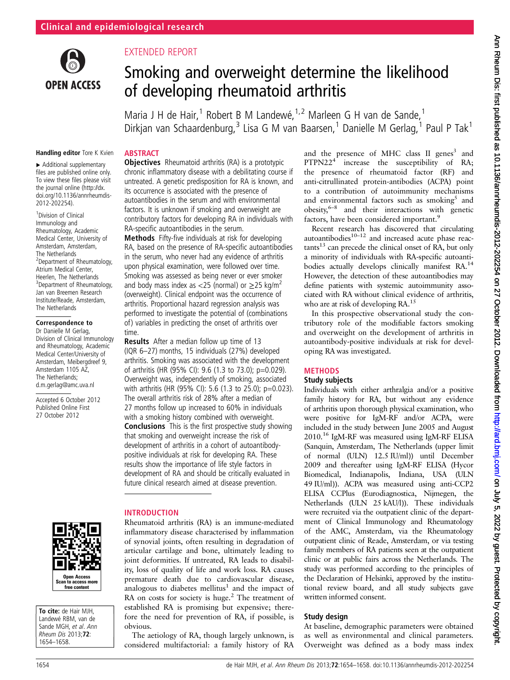

# EXTENDED REPORT

# Smoking and overweight determine the likelihood of developing rheumatoid arthritis

Maria J H de Hair,<sup>1</sup> Robert B M Landewé,  $1/2$  Marleen G H van de Sande,<sup>1</sup> Dirkjan van Schaardenburg,<sup>3</sup> Lisa G M van Baarsen,<sup>1</sup> Danielle M Gerlag,<sup>1</sup> Paul P Tak<sup>1</sup>

#### Handling editor Tore K Kvien

▸ Additional supplementary files are published online only. To view these files please visit the journal online ([http://dx.](http://dx.doi.org/10.1136/annrheumdis-2012-202254) [doi.org/10.1136/annrheumdis-](http://dx.doi.org/10.1136/annrheumdis-2012-202254)[2012-202254\)](http://dx.doi.org/10.1136/annrheumdis-2012-202254).

1 Division of Clinical Immunology and Rheumatology, Academic Medical Center, University of Amsterdam, Amsterdam, The Netherlands <sup>2</sup> Department of Rheumatology, Atrium Medical Center, Heerlen, The Netherlands <sup>3</sup> Department of Rheumatology, Jan van Breemen Research Institute/Reade, Amsterdam, The Netherlands

#### Correspondence to

Dr Danielle M Gerlag, Division of Clinical Immunology and Rheumatology, Academic Medical Center/University of Amsterdam, Meibergdreef 9, Amsterdam 1105 AZ, The Netherlands; d.m.gerlag@amc.uva.nl

Accepted 6 October 2012 Published Online First 27 October 2012



To cite: de Hair MJH, Landewé RBM, van de Sande MGH, et al. Ann Rheum Dis 2013;72: 1654–1658.

### **ABSTRACT**

**Objectives** Rheumatoid arthritis (RA) is a prototypic chronic inflammatory disease with a debilitating course if untreated. A genetic predisposition for RA is known, and its occurrence is associated with the presence of autoantibodies in the serum and with environmental factors. It is unknown if smoking and overweight are contributory factors for developing RA in individuals with RA-specific autoantibodies in the serum.

Methods Fifty-five individuals at risk for developing RA, based on the presence of RA-specific autoantibodies in the serum, who never had any evidence of arthritis upon physical examination, were followed over time. Smoking was assessed as being never or ever smoker and body mass index as <25 (normal) or  $\geq$ 25 kg/m<sup>2</sup> (overweight). Clinical endpoint was the occurrence of arthritis. Proportional hazard regression analysis was performed to investigate the potential of (combinations of) variables in predicting the onset of arthritis over time.

Results After a median follow up time of 13 (IQR 6–27) months, 15 individuals (27%) developed arthritis. Smoking was associated with the development of arthritis (HR (95% CI): 9.6 (1.3 to 73.0); p=0.029). Overweight was, independently of smoking, associated with arthritis (HR (95% CI): 5.6 (1.3 to 25.0); p=0.023). The overall arthritis risk of 28% after a median of 27 months follow up increased to 60% in individuals with a smoking history combined with overweight. **Conclusions** This is the first prospective study showing that smoking and overweight increase the risk of development of arthritis in a cohort of autoantibodypositive individuals at risk for developing RA. These results show the importance of life style factors in development of RA and should be critically evaluated in future clinical research aimed at disease prevention.

#### INTRODUCTION

Rheumatoid arthritis (RA) is an immune-mediated inflammatory disease characterised by inflammation of synovial joints, often resulting in degradation of articular cartilage and bone, ultimately leading to joint deformities. If untreated, RA leads to disability, loss of quality of life and work loss. RA causes premature death due to cardiovascular disease, analogous to diabetes mellitus $1$  and the impact of RA on costs for society is huge. $^{2}$  The treatment of established RA is promising but expensive; therefore the need for prevention of RA, if possible, is obvious.

The aetiology of RA, though largely unknown, is considered multifactorial: a family history of RA

and the presence of MHC class II genes<sup>3</sup> and  $PTPN22<sup>4</sup>$  increase the susceptibility of RA; the presence of rheumatoid factor (RF) and anti-citrullinated protein-antibodies (ACPA) point to a contribution of autoimmunity mechanisms and environmental factors such as smoking<sup>5</sup> and obesity,  $6-8$  and their interactions with genetic factors, have been considered important.<sup>9</sup>

Recent research has discovered that circulating autoantibodies $10^{-12}$  and increased acute phase reac $tants<sup>13</sup>$  can precede the clinical onset of RA, but only a minority of individuals with RA-specific autoantibodies actually develops clinically manifest RA.<sup>14</sup> However, the detection of these autoantibodies may define patients with systemic autoimmunity associated with RA without clinical evidence of arthritis, who are at risk of developing RA.<sup>15</sup>

In this prospective observational study the contributory role of the modifiable factors smoking and overweight on the development of arthritis in autoantibody-positive individuals at risk for developing RA was investigated.

#### **METHODS**

#### Study subjects

Individuals with either arthralgia and/or a positive family history for RA, but without any evidence of arthritis upon thorough physical examination, who were positive for IgM-RF and/or ACPA, were included in the study between June 2005 and August 2010.16 IgM-RF was measured using IgM-RF ELISA (Sanquin, Amsterdam, The Netherlands (upper limit of normal (ULN) 12.5 IU/ml)) until December 2009 and thereafter using IgM-RF ELISA (Hycor Biomedical, Indianapolis, Indiana, USA (ULN 49 IU/ml)). ACPA was measured using anti-CCP2 ELISA CCPlus (Eurodiagnostica, Nijmegen, the Netherlands (ULN 25 kAU/l)). These individuals were recruited via the outpatient clinic of the department of Clinical Immunology and Rheumatology of the AMC, Amsterdam, via the Rheumatology outpatient clinic of Reade, Amsterdam, or via testing family members of RA patients seen at the outpatient clinic or at public fairs across the Netherlands. The study was performed according to the principles of the Declaration of Helsinki, approved by the institutional review board, and all study subjects gave written informed consent.

#### Study design

At baseline, demographic parameters were obtained as well as environmental and clinical parameters. Overweight was defined as a body mass index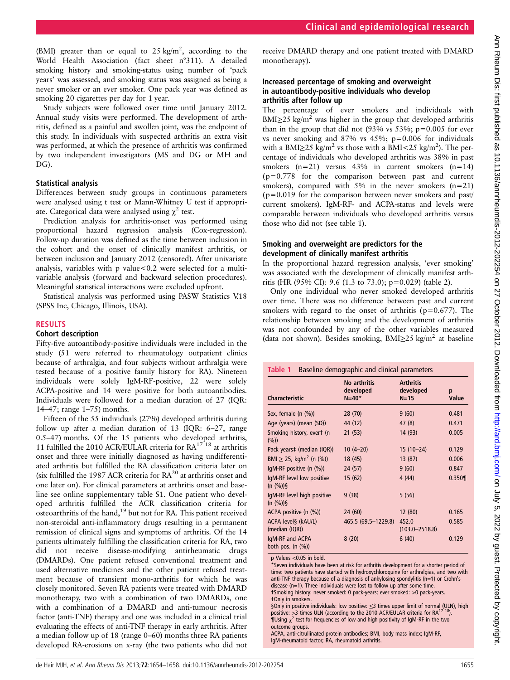(BMI) greater than or equal to  $25 \text{ kg/m}^2$ , according to the World Health Association (fact sheet n°311). A detailed smoking history and smoking-status using number of 'pack years' was assessed, and smoking status was assigned as being a never smoker or an ever smoker. One pack year was defined as smoking 20 cigarettes per day for 1 year.

Study subjects were followed over time until January 2012. Annual study visits were performed. The development of arthritis, defined as a painful and swollen joint, was the endpoint of this study. In individuals with suspected arthritis an extra visit was performed, at which the presence of arthritis was confirmed by two independent investigators (MS and DG or MH and DG).

#### Statistical analysis

Differences between study groups in continuous parameters were analysed using t test or Mann-Whitney U test if appropriate. Categorical data were analysed using  $\chi^2$  test.

Prediction analysis for arthritis-onset was performed using proportional hazard regression analysis (Cox-regression). Follow-up duration was defined as the time between inclusion in the cohort and the onset of clinically manifest arthritis, or between inclusion and January 2012 (censored). After univariate analysis, variables with p value<0.2 were selected for a multivariable analysis (forward and backward selection procedures). Meaningful statistical interactions were excluded upfront.

Statistical analysis was performed using PASW Statistics V.18 (SPSS Inc, Chicago, Illinois, USA).

#### RESULTS

#### Cohort description

Fifty-five autoantibody-positive individuals were included in the study (51 were referred to rheumatology outpatient clinics because of arthralgia, and four subjects without arthralgia were tested because of a positive family history for RA). Nineteen individuals were solely IgM-RF-positive, 22 were solely ACPA-positive and 14 were positive for both autoantibodies. Individuals were followed for a median duration of 27 (IQR: 14–47; range 1–75) months.

Fifteen of the 55 individuals (27%) developed arthritis during follow up after a median duration of 13 (IQR: 6–27, range 0.5–47) months. Of the 15 patients who developed arthritis, 11 fulfilled the 2010 ACR/EULAR criteria for  $RA^{17}$  <sup>18</sup> at arthritis onset and three were initially diagnosed as having undifferentiated arthritis but fulfilled the RA classification criteria later on (six fulfilled the 1987 ACR criteria for RA<sup>20</sup> at arthritis onset and one later on). For clinical parameters at arthritis onset and baseline see online supplementary table S1. One patient who developed arthritis fulfilled the ACR classification criteria for osteoarthritis of the hand,<sup>19</sup> but not for RA. This patient received non-steroidal anti-inflammatory drugs resulting in a permanent remission of clinical signs and symptoms of arthritis. Of the 14 patients ultimately fulfilling the classification criteria for RA, two did not receive disease-modifying antirheumatic drugs (DMARDs). One patient refused conventional treatment and used alternative medicines and the other patient refused treatment because of transient mono-arthritis for which he was closely monitored. Seven RA patients were treated with DMARD monotherapy, two with a combination of two DMARDs, one with a combination of a DMARD and anti-tumour necrosis factor (anti-TNF) therapy and one was included in a clinical trial evaluating the effects of anti-TNF therapy in early arthritis. After a median follow up of 18 (range 0–60) months three RA patients developed RA-erosions on x-ray (the two patients who did not

receive DMARD therapy and one patient treated with DMARD monotherapy).

#### Increased percentage of smoking and overweight in autoantibody-positive individuals who develop arthritis after follow up

The percentage of ever smokers and individuals with  $BMI \geq 25$  kg/m<sup>2</sup> was higher in the group that developed arthritis than in the group that did not  $(93\% \text{ vs } 53\%; \text{ p}=0.005 \text{ for ever})$ vs never smoking and  $87\%$  vs  $45\%$ ;  $p=0.006$  for individuals with a BMI $\geq$ 25 kg/m<sup>2</sup> vs those with a BMI<25 kg/m<sup>2</sup>). The percentage of individuals who developed arthritis was 38% in past smokers  $(n=21)$  versus 43% in current smokers  $(n=14)$ (p=0.778 for the comparison between past and current smokers), compared with  $5\%$  in the never smokers (n=21)  $(p=0.019)$  for the comparison between never smokers and past/ current smokers). IgM-RF- and ACPA-status and levels were comparable between individuals who developed arthritis versus those who did not (see table 1).

#### Smoking and overweight are predictors for the development of clinically manifest arthritis

In the proportional hazard regression analysis, 'ever smoking' was associated with the development of clinically manifest arthritis (HR (95% CI): 9.6 (1.3 to 73.0); p=0.029) (table 2).

Only one individual who never smoked developed arthritis over time. There was no difference between past and current smokers with regard to the onset of arthritis ( $p=0.677$ ). The relationship between smoking and the development of arthritis was not confounded by any of the other variables measured (data not shown). Besides smoking, BMI $\geq$ 25 kg/m<sup>2</sup> at baseline

#### Table 1 Baseline demographic and clinical parameters

| <b>Characteristic</b>                     | <b>No arthritis</b><br>developed<br>$N = 40*$ | <b>Arthritis</b><br>developed<br>$N=15$ | p<br>Value |
|-------------------------------------------|-----------------------------------------------|-----------------------------------------|------------|
| Sex, female (n (%))                       | 28 (70)                                       | 9(60)                                   | 0.481      |
| Age (years) (mean (SD))                   | 44 (12)                                       | 47(8)                                   | 0.471      |
| Smoking history, evert (n<br>(%)          | 21(53)                                        | 14 (93)                                 | 0.005      |
| Pack years‡ (median (IQR))                | $10(4-20)$                                    | $15(10-24)$                             | 0.129      |
| BMI $\geq$ 25, kg/m <sup>2</sup> (n (%))  | 18 (45)                                       | 13 (87)                                 | 0.006      |
| IgM-RF positive (n (%))                   | 24(57)                                        | 9(60)                                   | 0.847      |
| IgM-RF level low positive<br>(n (%))      | 15(62)                                        | 4(44)                                   | 0.3501     |
| IgM-RF level high positive<br>(n (%))     | 9(38)                                         | 5(56)                                   |            |
| ACPA positive $(n \ (\%))$                | 24 (60)                                       | 12 (80)                                 | 0.165      |
| ACPA level§ (kAU/L)<br>(median (IQR))     | 465.5 (69.5-1229.8)                           | 452.0<br>$(103.0 - 2518.8)$             | 0.585      |
| IqM-RF and ACPA<br>both pos. $(n \ (\%))$ | 8(20)                                         | 6(40)                                   | 0.129      |

p Values <0.05 in bold. \*Seven individuals have been at risk for arthritis development for a shorter period of time: two patients have started with hydroxychloroquine for arthralgias, and two with anti-TNF therapy because of a diagnosis of ankylosing spondylitis (n=1) or Crohn's disease (n=1). Three individuals were lost to follow up after some time. †Smoking history: never smoked: 0 pack-years; ever smoked: >0 pack-years. ‡Only in smokers.

§Only in positive individuals: low positive: ≤3 times upper limit of normal (ULN), high positive:  $>3$  times ULN (according to the 2010 ACR/EULAR criteria for  $RA^{17}$  $\P$ Using  $\chi^2$  test for frequencies of low and high positivity of IgM-RF in the two outcome groups.

ACPA, anti-citrullinated protein antibodies; BMI, body mass index; IgM-RF, IgM-rheumatoid factor; RA, rheumatoid arthritis.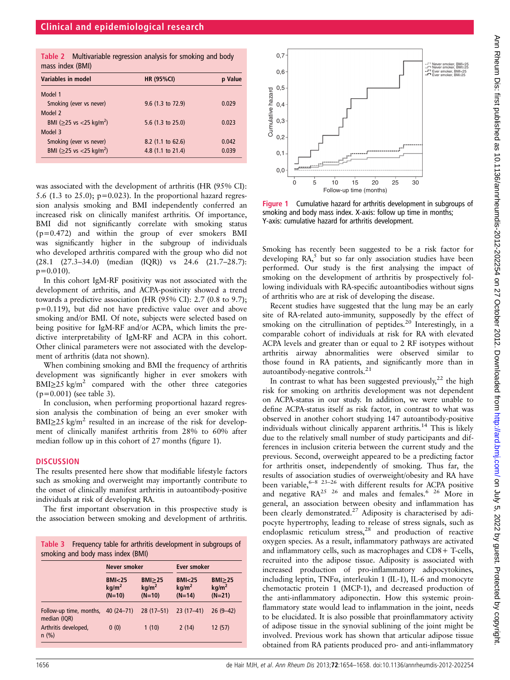|                  | Table 2 Multivariable regression analysis for smoking and body |  |  |  |
|------------------|----------------------------------------------------------------|--|--|--|
| mass index (BMI) |                                                                |  |  |  |

| <b>THUSS THACK (DITII)</b>                 |                   |         |
|--------------------------------------------|-------------------|---------|
| Variables in model                         | <b>HR (95%CI)</b> | p Value |
| Model 1                                    |                   |         |
| Smoking (ever vs never)                    | 9.6 (1.3 to 72.9) | 0.029   |
| Model 2                                    |                   |         |
| BMI ( $\geq$ 25 vs <25 kg/m <sup>2</sup> ) | 5.6 (1.3 to 25.0) | 0.023   |
| Model 3                                    |                   |         |
| Smoking (ever vs never)                    | 8.2 (1.1 to 62.6) | 0.042   |
| BMI ( $\geq$ 25 vs <25 kg/m <sup>2</sup> ) | 4.8 (1.1 to 21.4) | 0.039   |
|                                            |                   |         |

was associated with the development of arthritis (HR (95% CI): 5.6 (1.3 to 25.0);  $p=0.023$ ). In the proportional hazard regression analysis smoking and BMI independently conferred an increased risk on clinically manifest arthritis. Of importance, BMI did not significantly correlate with smoking status  $(p=0.472)$  and within the group of ever smokers BMI was significantly higher in the subgroup of individuals who developed arthritis compared with the group who did not (28.1 (27.3–34.0) (median (IQR)) vs 24.6 (21.7–28.7):  $p=0.010$ ).

In this cohort IgM-RF positivity was not associated with the development of arthritis, and ACPA-positivity showed a trend towards a predictive association (HR (95% CI): 2.7 (0.8 to 9.7); p=0.119), but did not have predictive value over and above smoking and/or BMI. Of note, subjects were selected based on being positive for IgM-RF and/or ACPA, which limits the predictive interpretability of IgM-RF and ACPA in this cohort. Other clinical parameters were not associated with the development of arthritis (data not shown).

When combining smoking and BMI the frequency of arthritis development was significantly higher in ever smokers with BMI $\geq$ 25 kg/m<sup>2</sup> compared with the other three categories  $(p=0.001)$  (see table 3).

In conclusion, when performing proportional hazard regression analysis the combination of being an ever smoker with  $BMI \geq 25$  kg/m<sup>2</sup> resulted in an increase of the risk for development of clinically manifest arthritis from 28% to 60% after median follow up in this cohort of 27 months (figure 1).

#### **DISCUSSION**

The results presented here show that modifiable lifestyle factors such as smoking and overweight may importantly contribute to the onset of clinically manifest arthritis in autoantibody-positive individuals at risk of developing RA.

The first important observation in this prospective study is the association between smoking and development of arthritis.

| Table 3 Frequency table for arthritis development in subgroups of |
|-------------------------------------------------------------------|
| smoking and body mass index (BMI)                                 |

|                                         | Never smoker                              |                                                | Ever smoker                                        |                                                |  |
|-----------------------------------------|-------------------------------------------|------------------------------------------------|----------------------------------------------------|------------------------------------------------|--|
|                                         | BMI < 25<br>kg/m <sup>2</sup><br>$(N=10)$ | $BMI \geq 25$<br>kg/m <sup>2</sup><br>$(N=10)$ | BMI <sub>25</sub><br>kg/m <sup>2</sup><br>$(N=14)$ | $BMI \geq 25$<br>kg/m <sup>2</sup><br>$(N=21)$ |  |
| Follow-up time, months,<br>median (IQR) | $40(24 - 71)$                             | $28(17-51)$                                    | $23(17-41)$                                        | $26(9-42)$                                     |  |
| Arthritis developed,<br>$n$ (%)         | 0(0)                                      | 1(10)                                          | 2(14)                                              | 12(57)                                         |  |



Figure 1 Cumulative hazard for arthritis development in subgroups of smoking and body mass index. X-axis: follow up time in months; Y-axis: cumulative hazard for arthritis development.

Smoking has recently been suggested to be a risk factor for developing  $RA$ <sup>5</sup>, but so far only association studies have been performed. Our study is the first analysing the impact of smoking on the development of arthritis by prospectively following individuals with RA-specific autoantibodies without signs of arthritis who are at risk of developing the disease.

Recent studies have suggested that the lung may be an early site of RA-related auto-immunity, supposedly by the effect of smoking on the citrullination of peptides. $20$  Interestingly, in a comparable cohort of individuals at risk for RA with elevated ACPA levels and greater than or equal to 2 RF isotypes without arthritis airway abnormalities were observed similar to those found in RA patients, and significantly more than in autoantibody-negative controls.<sup>21</sup>

In contrast to what has been suggested previously,<sup>22</sup> the high risk for smoking on arthritis development was not dependent on ACPA-status in our study. In addition, we were unable to define ACPA-status itself as risk factor, in contrast to what was observed in another cohort studying 147 autoantibody-positive individuals without clinically apparent arthritis.<sup>14</sup> This is likely due to the relatively small number of study participants and differences in inclusion criteria between the current study and the previous. Second, overweight appeared to be a predicting factor for arthritis onset, independently of smoking. Thus far, the results of association studies of overweight/obesity and RA have been variable,<sup>6–8 23–26</sup> with different results for ACPA positive and negative  $\mathbb{R}A^{25}$  <sup>26</sup> and males and females.<sup>6</sup> <sup>26</sup> More in general, an association between obesity and inflammation has been clearly demonstrated.<sup>27</sup> Adiposity is characterised by adipocyte hypertrophy, leading to release of stress signals, such as endoplasmic reticulum stress, $28$  and production of reactive oxygen species. As a result, inflammatory pathways are activated and inflammatory cells, such as macrophages and CD8+ T-cells, recruited into the adipose tissue. Adiposity is associated with increased production of pro-inflammatory adipocytokines, including leptin, TNFα, interleukin 1 (IL-1), IL-6 and monocyte chemotactic protein 1 (MCP-1), and decreased production of the anti-inflammatory adiponectin. How this systemic proinflammatory state would lead to inflammation in the joint, needs to be elucidated. It is also possible that proinflammatory activity of adipose tissue in the synovial sublining of the joint might be involved. Previous work has shown that articular adipose tissue obtained from RA patients produced pro- and anti-inflammatory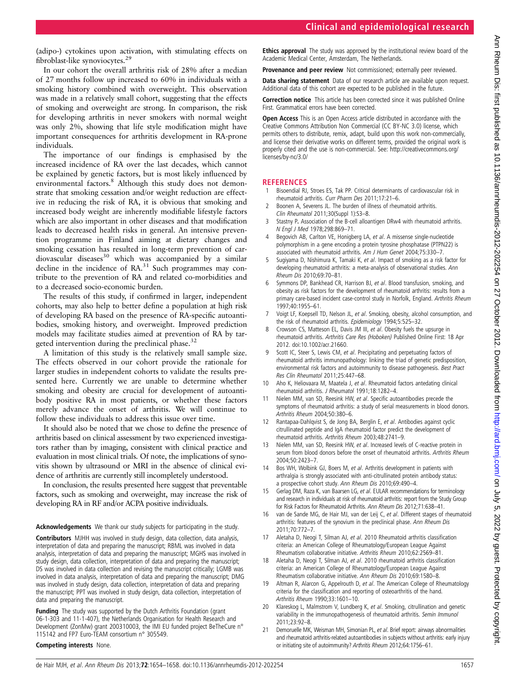(adipo-) cytokines upon activation, with stimulating effects on fibroblast-like synoviocytes.<sup>29</sup>

In our cohort the overall arthritis risk of 28% after a median of 27 months follow up increased to 60% in individuals with a smoking history combined with overweight. This observation was made in a relatively small cohort, suggesting that the effects of smoking and overweight are strong. In comparison, the risk for developing arthritis in never smokers with normal weight was only 2%, showing that life style modification might have important consequences for arthritis development in RA-prone individuals.

The importance of our findings is emphasised by the increased incidence of RA over the last decades, which cannot be explained by genetic factors, but is most likely influenced by environmental factors.<sup>8</sup> Although this study does not demonstrate that smoking cessation and/or weight reduction are effective in reducing the risk of RA, it is obvious that smoking and increased body weight are inherently modifiable lifestyle factors which are also important in other diseases and that modification leads to decreased health risks in general. An intensive prevention programme in Finland aiming at dietary changes and smoking cessation has resulted in long-term prevention of cardiovascular diseases<sup>30</sup> which was accompanied by a similar decline in the incidence of  $RA.^{31}$  Such programmes may contribute to the prevention of RA and related co-morbidities and to a decreased socio-economic burden.

The results of this study, if confirmed in larger, independent cohorts, may also help to better define a population at high risk of developing RA based on the presence of RA-specific autoantibodies, smoking history, and overweight. Improved prediction models may facilitate studies aimed at prevention of RA by targeted intervention during the preclinical phase.<sup>32</sup>

A limitation of this study is the relatively small sample size. The effects observed in our cohort provide the rationale for larger studies in independent cohorts to validate the results presented here. Currently we are unable to determine whether smoking and obesity are crucial for development of autoantibody positive RA in most patients, or whether these factors merely advance the onset of arthritis. We will continue to follow these individuals to address this issue over time.

It should also be noted that we chose to define the presence of arthritis based on clinical assessment by two experienced investigators rather than by imaging, consistent with clinical practice and evaluation in most clinical trials. Of note, the implications of synovitis shown by ultrasound or MRI in the absence of clinical evidence of arthritis are currently still incompletely understood.

In conclusion, the results presented here suggest that preventable factors, such as smoking and overweight, may increase the risk of developing RA in RF and/or ACPA positive individuals.

Acknowledgements We thank our study subjects for participating in the study.

Contributors MJHH was involved in study design, data collection, data analysis, interpretation of data and preparing the manuscript; RBML was involved in data analysis, interpretation of data and preparing the manuscript; MGHS was involved in study design, data collection, interpretation of data and preparing the manuscript; DS was involved in data collection and revising the manuscript critically; LGMB was involved in data analysis, interpretation of data and preparing the manuscript; DMG was involved in study design, data collection, interpretation of data and preparing the manuscript; PPT was involved in study design, data collection, interpretation of data and preparing the manuscript.

Funding The study was supported by the Dutch Arthritis Foundation (grant 06-1-303 and 11-1-407), the Netherlands Organisation for Health Research and Development (ZonMw) grant 200310003, the IMI EU funded project BeTheCure n° 115142 and FP7 Euro-TEAM consortium n° 305549.

#### Competing interests None.

**Ethics approval** The study was approved by the institutional review board of the Academic Medical Center, Amsterdam, The Netherlands.

**Provenance and peer review** Not commissioned: externally peer reviewed.

Data sharing statement Data of our research article are available upon request. Additional data of this cohort are expected to be published in the future.

Correction notice This article has been corrected since it was published Online First. Grammatical errors have been corrected.

Open Access This is an Open Access article distributed in accordance with the Creative Commons Attribution Non Commercial (CC BY-NC 3.0) license, which permits others to distribute, remix, adapt, build upon this work non-commercially, and license their derivative works on different terms, provided the original work is properly cited and the use is non-commercial. See: [http://creativecommons.org/](http://creativecommons.org/licenses/by-nc/3.0/) [licenses/by-nc/3.0/](http://creativecommons.org/licenses/by-nc/3.0/)

# **REFERENCES**<br>1 Bisoendial RJ

- Bisoendial RJ, Stroes ES, Tak PP. Critical determinants of cardiovascular risk in rheumatoid arthritis. Curr Pharm Des 2011;17:21–6.
- 2 Boonen A, Severens JL. The burden of illness of rheumatoid arthritis. Clin Rheumatol 2011;30(Suppl 1):S3–8.
- 3 Stastny P. Association of the B-cell alloantigen DRw4 with rheumatoid arthritis. N Engl J Med 1978;298:869–71.
- 4 Begovich AB, Carlton VE, Honigberg LA, et al. A missense single-nucleotide polymorphism in a gene encoding a protein tyrosine phosphatase (PTPN22) is associated with rheumatoid arthritis. Am J Hum Genet 2004;75:330–7.
- 5 Sugiyama D, Nishimura K, Tamaki K, et al. Impact of smoking as a risk factor for developing rheumatoid arthritis: a meta-analysis of observational studies. Ann Rheum Dis 2010;69:70–81.
- 6 Symmons DP, Bankhead CR, Harrison BJ, et al. Blood transfusion, smoking, and obesity as risk factors for the development of rheumatoid arthritis: results from a primary care-based incident case-control study in Norfolk, England. Arthritis Rheum 1997;40:1955–61.
- 7 Voigt LF, Koepsell TD, Nelson JL, et al. Smoking, obesity, alcohol consumption, and the risk of rheumatoid arthritis. Epidemiology 1994;5:525-32.
- Crowson CS, Matteson EL, Davis JM III, et al. Obesity fuels the upsurge in rheumatoid arthritis. Arthritis Care Res (Hoboken) Published Online First: 18 Apr 2012. doi:10.1002/acr.21660.
- Scott IC, Steer S, Lewis CM, et al. Precipitating and perpetuating factors of rheumatoid arthritis immunopathology: linking the triad of genetic predisposition, environmental risk factors and autoimmunity to disease pathogenesis. Best Pract Res Clin Rheumatol 2011;25:447–68.
- 10 Aho K, Heliovaara M, Maatela J, et al. Rheumatoid factors antedating clinical rheumatoid arthritis. J Rheumatol 1991;18:1282–4.
- 11 Nielen MM, van SD, Reesink HW, et al. Specific autoantibodies precede the symptoms of rheumatoid arthritis: a study of serial measurements in blood donors. Arthritis Rheum 2004;50:380–6.
- 12 Rantapaa-Dahlqvist S, de Jong BA, Berglin E, et al. Antibodies against cyclic citrullinated peptide and IgA rheumatoid factor predict the development of rheumatoid arthritis. Arthritis Rheum 2003;48:2741–9.
- 13 Nielen MM, van SD, Reesink HW, et al. Increased levels of C-reactive protein in serum from blood donors before the onset of rheumatoid arthritis. Arthritis Rheum 2004;50:2423–7.
- 14 Bos WH, Wolbink GJ, Boers M, et al. Arthritis development in patients with arthralgia is strongly associated with anti-citrullinated protein antibody status: a prospective cohort study. Ann Rheum Dis 2010;69:490–4.
- 15 Gerlag DM, Raza K, van Baarsen LG, et al. EULAR recommendations for terminology and research in individuals at risk of rheumatoid arthritis: report from the Study Group for Risk Factors for Rheumatoid Arthritis. Ann Rheum Dis 2012;71:638–41.
- 16 van de Sande MG, de Hair MJ, van der Leij C, et al. Different stages of rheumatoid arthritis: features of the synovium in the preclinical phase. Ann Rheum Dis 2011;70:772–7.
- 17 Aletaha D, Neogi T, Silman AJ, et al. 2010 Rheumatoid arthritis classification criteria: an American College of Rheumatology/European League Against Rheumatism collaborative initiative. Arthritis Rheum 2010;62:2569–81.
- 18 Aletaha D, Neogi T, Silman AJ, et al. 2010 rheumatoid arthritis classification criteria: an American College of Rheumatology/European League Against Rheumatism collaborative initiative. Ann Rheum Dis 2010;69:1580–8.
- 19 Altman R, Alarcon G, Appelrouth D, et al. The American College of Rheumatology criteria for the classification and reporting of osteoarthritis of the hand. Arthritis Rheum 1990;33:1601–10.
- 20 Klareskog L, Malmstrom V, Lundberg K, et al. Smoking, citrullination and genetic variability in the immunopathogenesis of rheumatoid arthritis. Semin Immunol 2011;23:92–8.
- 21 Demoruelle MK, Weisman MH, Simonian PL, et al. Brief report: airways abnormalities and rheumatoid arthritis-related autoantibodies in subjects without arthritis: early injury or initiating site of autoimmunity? Arthritis Rheum 2012;64:1756–61.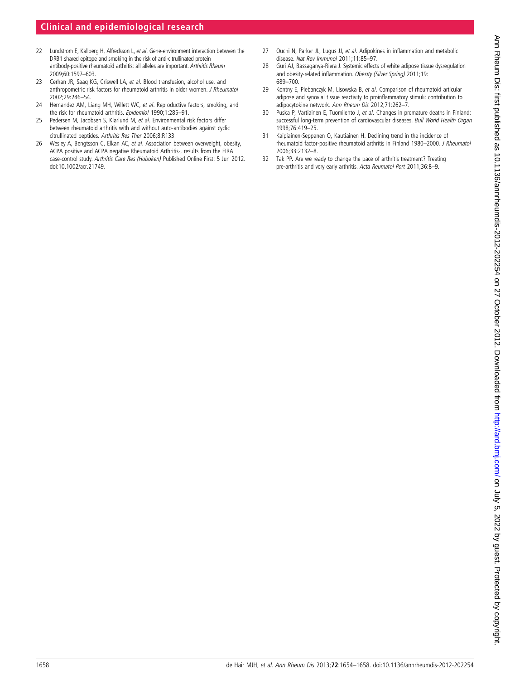## Clinical and epidemiological research

- 22 Lundstrom E, Kallberg H, Alfredsson L, et al. Gene-environment interaction between the DRB1 shared epitope and smoking in the risk of anti-citrullinated protein antibody-positive rheumatoid arthritis: all alleles are important. Arthritis Rheum 2009;60:1597–603.
- 23 Cerhan JR, Saag KG, Criswell LA, et al. Blood transfusion, alcohol use, and anthropometric risk factors for rheumatoid arthritis in older women. J Rheumatol 2002;29:246–54.
- 24 Hernandez AM, Liang MH, Willett WC, et al. Reproductive factors, smoking, and the risk for rheumatoid arthritis. Epidemiol 1990;1:285–91.
- 25 Pedersen M, Jacobsen S, Klarlund M, et al. Environmental risk factors differ between rheumatoid arthritis with and without auto-antibodies against cyclic citrullinated peptides. Arthritis Res Ther 2006;8:R133.
- 26 Wesley A, Bengtsson C, Elkan AC, et al. Association between overweight, obesity, ACPA positive and ACPA negative Rheumatoid Arthritis-, results from the EIRA case-control study. Arthritis Care Res (Hoboken) Published Online First: 5 Jun 2012. doi:10.1002/acr.21749.
- 27 Ouchi N, Parker JL, Lugus JJ, et al. Adipokines in inflammation and metabolic disease. Nat Rev Immunol 2011;11:85–97.
- 28 Guri AJ, Bassaganya-Riera J. Systemic effects of white adipose tissue dysregulation and obesity-related inflammation. Obesity (Silver Spring) 2011;19: 689–700.
- 29 Kontny E, Plebanczyk M, Lisowska B, et al. Comparison of rheumatoid articular adipose and synovial tissue reactivity to proinflammatory stimuli: contribution to adipocytokine network. Ann Rheum Dis 2012;71:262–7.
- 30 Puska P, Vartiainen E, Tuomilehto J, et al. Changes in premature deaths in Finland: successful long-term prevention of cardiovascular diseases. Bull World Health Organ 1998;76:419–25.
- 31 Kaipiainen-Seppanen O, Kautiainen H. Declining trend in the incidence of rheumatoid factor-positive rheumatoid arthritis in Finland 1980–2000. J Rheumatol 2006;33:2132–8.
- 32 Tak PP. Are we ready to change the pace of arthritis treatment? Treating pre-arthritis and very early arthritis. Acta Reumatol Port 2011;36:8–9.